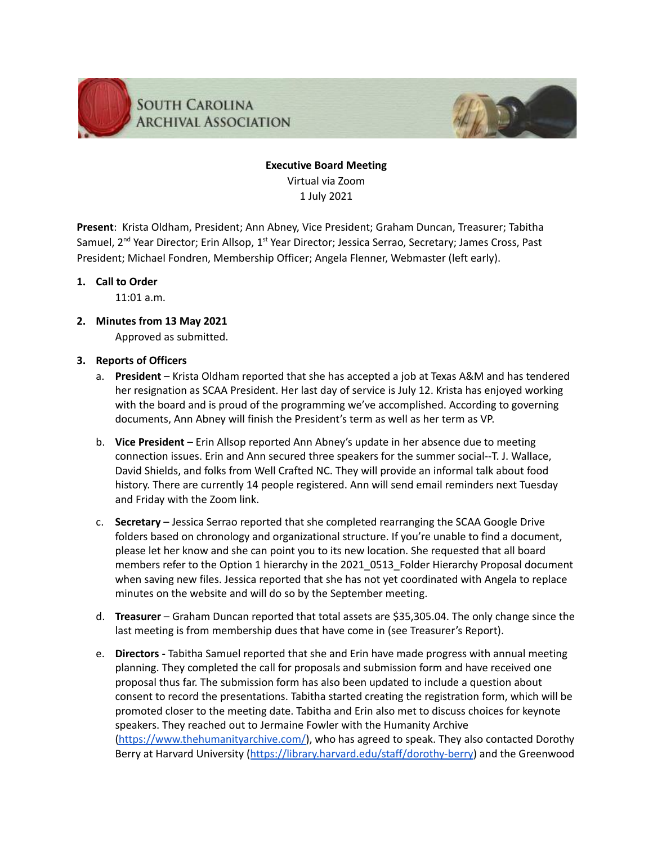

### **Executive Board Meeting** Virtual via Zoom 1 July 2021

**Present**: Krista Oldham, President; Ann Abney, Vice President; Graham Duncan, Treasurer; Tabitha Samuel, 2<sup>nd</sup> Year Director; Erin Allsop, 1<sup>st</sup> Year Director; Jessica Serrao, Secretary; James Cross, Past President; Michael Fondren, Membership Officer; Angela Flenner, Webmaster (left early).

#### **1. Call to Order**

11:01 a.m.

**2. Minutes from 13 May 2021** Approved as submitted.

#### **3. Reports of Officers**

- a. **President** Krista Oldham reported that she has accepted a job at Texas A&M and has tendered her resignation as SCAA President. Her last day of service is July 12. Krista has enjoyed working with the board and is proud of the programming we've accomplished. According to governing documents, Ann Abney will finish the President's term as well as her term as VP.
- b. **Vice President** Erin Allsop reported Ann Abney's update in her absence due to meeting connection issues. Erin and Ann secured three speakers for the summer social--T. J. Wallace, David Shields, and folks from Well Crafted NC. They will provide an informal talk about food history. There are currently 14 people registered. Ann will send email reminders next Tuesday and Friday with the Zoom link.
- c. **Secretary** Jessica Serrao reported that she completed rearranging the SCAA Google Drive folders based on chronology and organizational structure. If you're unable to find a document, please let her know and she can point you to its new location. She requested that all board members refer to the Option 1 hierarchy in the 2021 0513 Folder Hierarchy Proposal document when saving new files. Jessica reported that she has not yet coordinated with Angela to replace minutes on the website and will do so by the September meeting.
- d. **Treasurer** Graham Duncan reported that total assets are \$35,305.04. The only change since the last meeting is from membership dues that have come in (see Treasurer's Report).
- e. **Directors -** Tabitha Samuel reported that she and Erin have made progress with annual meeting planning. They completed the call for proposals and submission form and have received one proposal thus far. The submission form has also been updated to include a question about consent to record the presentations. Tabitha started creating the registration form, which will be promoted closer to the meeting date. Tabitha and Erin also met to discuss choices for keynote speakers. They reached out to Jermaine Fowler with the Humanity Archive [\(https://www.thehumanityarchive.com/\)](https://www.thehumanityarchive.com/), who has agreed to speak. They also contacted Dorothy Berry at Harvard University ([https://library.harvard.edu/staff/dorothy-berry\)](https://library.harvard.edu/staff/dorothy-berry) and the Greenwood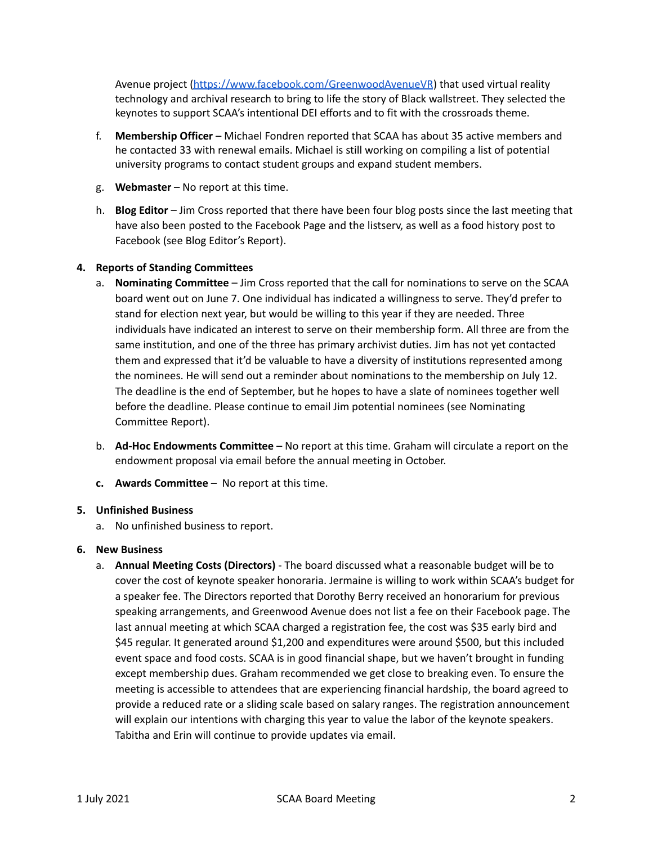Avenue project [\(https://www.facebook.com/GreenwoodAvenueVR](https://www.facebook.com/GreenwoodAvenueVR)) that used virtual reality technology and archival research to bring to life the story of Black wallstreet. They selected the keynotes to support SCAA's intentional DEI efforts and to fit with the crossroads theme.

- f. **Membership Officer** Michael Fondren reported that SCAA has about 35 active members and he contacted 33 with renewal emails. Michael is still working on compiling a list of potential university programs to contact student groups and expand student members.
- g. **Webmaster** No report at this time.
- h. **Blog Editor** Jim Cross reported that there have been four blog posts since the last meeting that have also been posted to the Facebook Page and the listserv, as well as a food history post to Facebook (see Blog Editor's Report).

#### **4. Reports of Standing Committees**

- a. **Nominating Committee** Jim Cross reported that the call for nominations to serve on the SCAA board went out on June 7. One individual has indicated a willingness to serve. They'd prefer to stand for election next year, but would be willing to this year if they are needed. Three individuals have indicated an interest to serve on their membership form. All three are from the same institution, and one of the three has primary archivist duties. Jim has not yet contacted them and expressed that it'd be valuable to have a diversity of institutions represented among the nominees. He will send out a reminder about nominations to the membership on July 12. The deadline is the end of September, but he hopes to have a slate of nominees together well before the deadline. Please continue to email Jim potential nominees (see Nominating Committee Report).
- b. **Ad-Hoc Endowments Committee** No report at this time. Graham will circulate a report on the endowment proposal via email before the annual meeting in October.
- **c. Awards Committee** No report at this time.

#### **5. Unfinished Business**

a. No unfinished business to report.

#### **6. New Business**

a. **Annual Meeting Costs (Directors)** - The board discussed what a reasonable budget will be to cover the cost of keynote speaker honoraria. Jermaine is willing to work within SCAA's budget for a speaker fee. The Directors reported that Dorothy Berry received an honorarium for previous speaking arrangements, and Greenwood Avenue does not list a fee on their Facebook page. The last annual meeting at which SCAA charged a registration fee, the cost was \$35 early bird and \$45 regular. It generated around \$1,200 and expenditures were around \$500, but this included event space and food costs. SCAA is in good financial shape, but we haven't brought in funding except membership dues. Graham recommended we get close to breaking even. To ensure the meeting is accessible to attendees that are experiencing financial hardship, the board agreed to provide a reduced rate or a sliding scale based on salary ranges. The registration announcement will explain our intentions with charging this year to value the labor of the keynote speakers. Tabitha and Erin will continue to provide updates via email.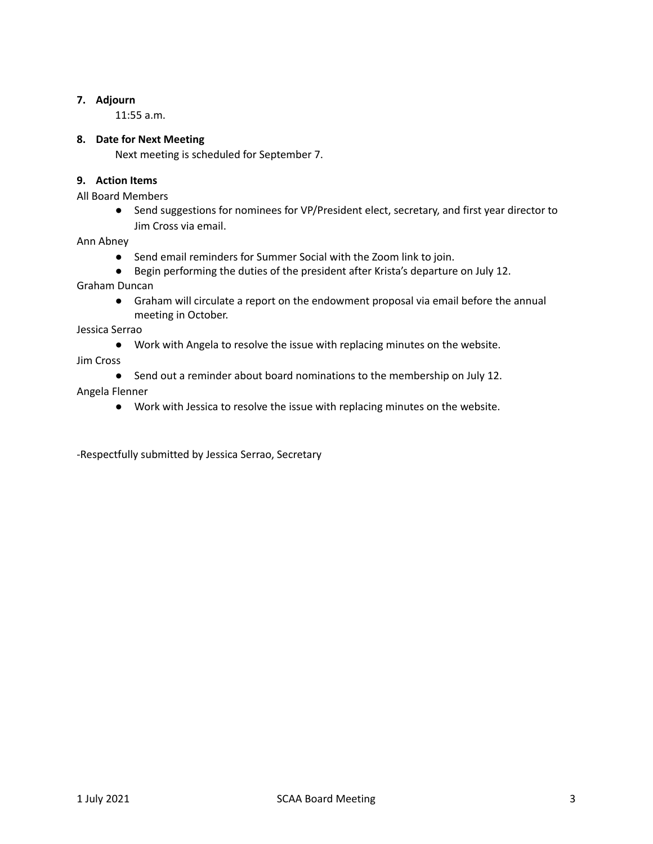#### **7. Adjourn**

11:55 a.m.

#### **8. Date for Next Meeting**

Next meeting is scheduled for September 7.

#### **9. Action Items**

All Board Members

● Send suggestions for nominees for VP/President elect, secretary, and first year director to Jim Cross via email.

Ann Abney

- Send email reminders for Summer Social with the Zoom link to join.
- Begin performing the duties of the president after Krista's departure on July 12.

Graham Duncan

● Graham will circulate a report on the endowment proposal via email before the annual meeting in October.

Jessica Serrao

● Work with Angela to resolve the issue with replacing minutes on the website.

Jim Cross

- Send out a reminder about board nominations to the membership on July 12. Angela Flenner
	- Work with Jessica to resolve the issue with replacing minutes on the website.

-Respectfully submitted by Jessica Serrao, Secretary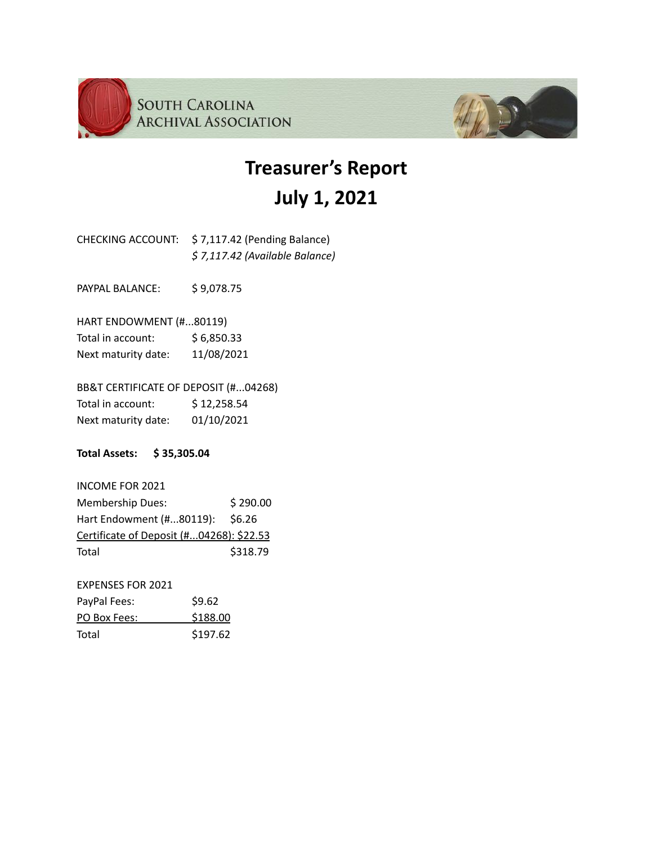



# **Treasurer's Report July 1, 2021**

CHECKING ACCOUNT: \$ 7,117.42 (Pending Balance) *\$ 7,117.42 (Available Balance)*

PAYPAL BALANCE: \$9,078.75

HART ENDOWMENT (#...80119) Total in account: \$6,850.33

Next maturity date: 11/08/2021

BB&T CERTIFICATE OF DEPOSIT (#...04268) Total in account: \$12,258.54 Next maturity date: 01/10/2021

**Total Assets: \$ 35,305.04**

INCOME FOR 2021 Membership Dues: \$290.00 Hart Endowment (#...80119): \$6.26 Certificate of Deposit (#...04268): \$22.53 Total \$318.79

EXPENSES FOR 2021 PayPal Fees: \$9.62 PO Box Fees: \$188.00 Total \$197.62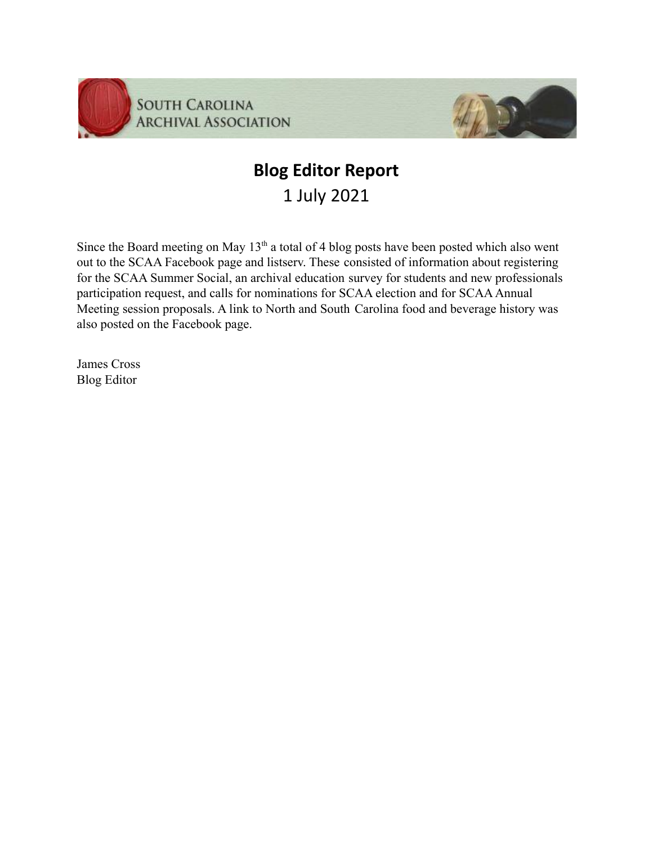

### **Blog Editor Report** 1 July 2021

Since the Board meeting on May  $13<sup>th</sup>$  a total of 4 blog posts have been posted which also went out to the SCAA Facebook page and listserv. These consisted of information about registering for the SCAA Summer Social, an archival education survey for students and new professionals participation request, and calls for nominations for SCAA election and for SCAA Annual Meeting session proposals. A link to North and South Carolina food and beverage history was also posted on the Facebook page.

James Cross Blog Editor